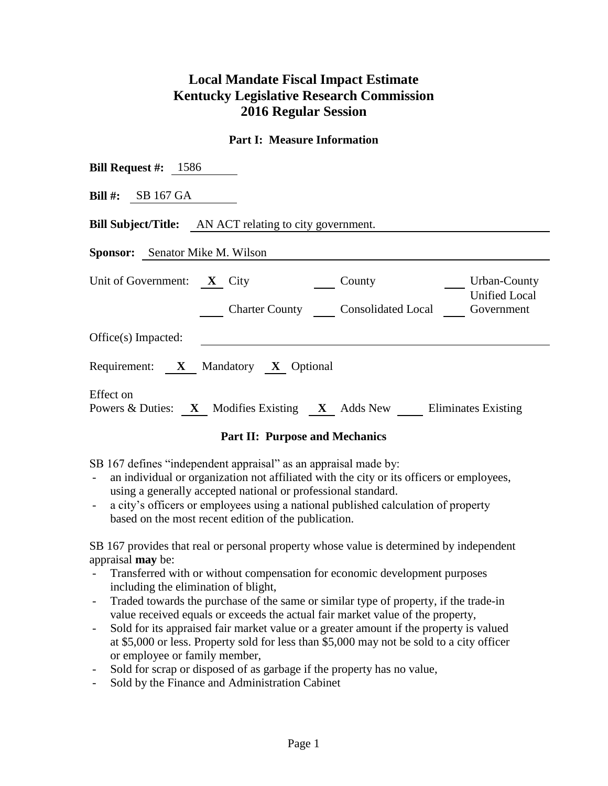# **Local Mandate Fiscal Impact Estimate Kentucky Legislative Research Commission 2016 Regular Session**

#### **Part I: Measure Information**

| <b>Bill Request #:</b> $1586$                                                                                                            |
|------------------------------------------------------------------------------------------------------------------------------------------|
| Bill $#$ : SB 167 GA                                                                                                                     |
| <b>Bill Subject/Title:</b> AN ACT relating to city government.                                                                           |
| <b>Sponsor:</b> Senator Mike M. Wilson                                                                                                   |
| Unit of Government: $X$ City<br>Urban-County<br>County<br><b>Unified Local</b><br><b>Charter County</b> Consolidated Local<br>Government |
| Office(s) Impacted:                                                                                                                      |
| Requirement: X Mandatory X Optional                                                                                                      |
| Effect on<br>Powers & Duties: $X$ Modifies Existing $X$ Adds New Eliminates Existing                                                     |

### **Part II: Purpose and Mechanics**

SB 167 defines "independent appraisal" as an appraisal made by:

- an individual or organization not affiliated with the city or its officers or employees, using a generally accepted national or professional standard.
- a city's officers or employees using a national published calculation of property based on the most recent edition of the publication.

SB 167 provides that real or personal property whose value is determined by independent appraisal **may** be:

- Transferred with or without compensation for economic development purposes including the elimination of blight,
- Traded towards the purchase of the same or similar type of property, if the trade-in value received equals or exceeds the actual fair market value of the property,
- Sold for its appraised fair market value or a greater amount if the property is valued at \$5,000 or less. Property sold for less than \$5,000 may not be sold to a city officer or employee or family member,
- Sold for scrap or disposed of as garbage if the property has no value,
- Sold by the Finance and Administration Cabinet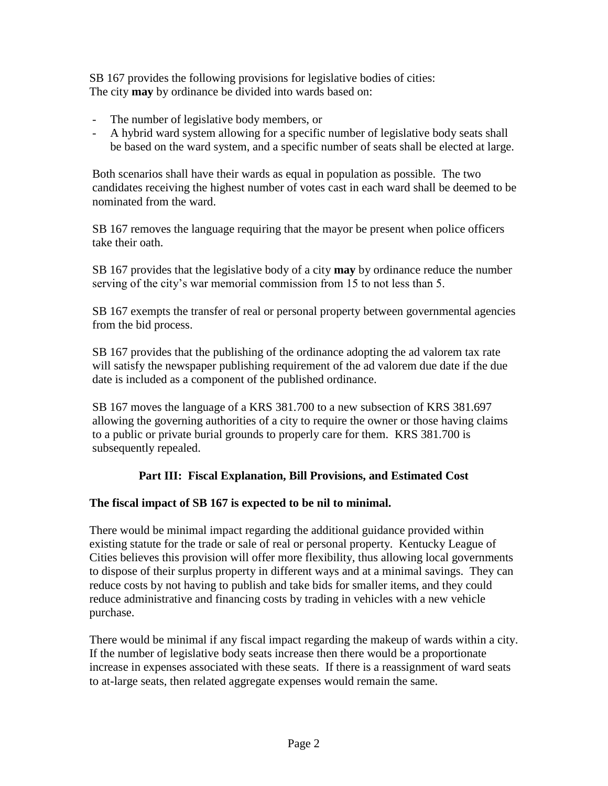SB 167 provides the following provisions for legislative bodies of cities: The city **may** by ordinance be divided into wards based on:

- The number of legislative body members, or
- A hybrid ward system allowing for a specific number of legislative body seats shall be based on the ward system, and a specific number of seats shall be elected at large.

Both scenarios shall have their wards as equal in population as possible. The two candidates receiving the highest number of votes cast in each ward shall be deemed to be nominated from the ward.

SB 167 removes the language requiring that the mayor be present when police officers take their oath.

SB 167 provides that the legislative body of a city **may** by ordinance reduce the number serving of the city's war memorial commission from 15 to not less than 5.

SB 167 exempts the transfer of real or personal property between governmental agencies from the bid process.

SB 167 provides that the publishing of the ordinance adopting the ad valorem tax rate will satisfy the newspaper publishing requirement of the ad valorem due date if the due date is included as a component of the published ordinance.

SB 167 moves the language of a KRS 381.700 to a new subsection of KRS 381.697 allowing the governing authorities of a city to require the owner or those having claims to a public or private burial grounds to properly care for them. KRS 381.700 is subsequently repealed.

## **Part III: Fiscal Explanation, Bill Provisions, and Estimated Cost**

### **The fiscal impact of SB 167 is expected to be nil to minimal.**

There would be minimal impact regarding the additional guidance provided within existing statute for the trade or sale of real or personal property. Kentucky League of Cities believes this provision will offer more flexibility, thus allowing local governments to dispose of their surplus property in different ways and at a minimal savings. They can reduce costs by not having to publish and take bids for smaller items, and they could reduce administrative and financing costs by trading in vehicles with a new vehicle purchase.

There would be minimal if any fiscal impact regarding the makeup of wards within a city. If the number of legislative body seats increase then there would be a proportionate increase in expenses associated with these seats. If there is a reassignment of ward seats to at-large seats, then related aggregate expenses would remain the same.